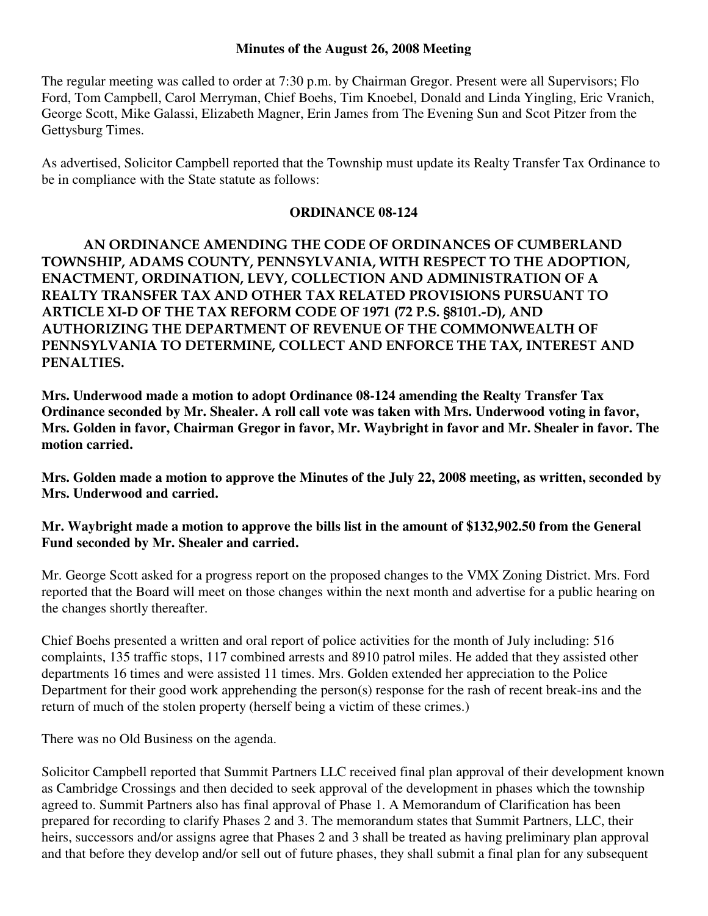## **Minutes of the August 26, 2008 Meeting**

The regular meeting was called to order at 7:30 p.m. by Chairman Gregor. Present were all Supervisors; Flo Ford, Tom Campbell, Carol Merryman, Chief Boehs, Tim Knoebel, Donald and Linda Yingling, Eric Vranich, George Scott, Mike Galassi, Elizabeth Magner, Erin James from The Evening Sun and Scot Pitzer from the Gettysburg Times.

As advertised, Solicitor Campbell reported that the Township must update its Realty Transfer Tax Ordinance to be in compliance with the State statute as follows:

## **ORDINANCE 08-124**

AN ORDINANCE AMENDING THE CODE OF ORDINANCES OF CUMBERLAND TOWNSHIP, ADAMS COUNTY, PENNSYLVANIA, WITH RESPECT TO THE ADOPTION, ENACTMENT, ORDINATION, LEVY, COLLECTION AND ADMINISTRATION OF A REALTY TRANSFER TAX AND OTHER TAX RELATED PROVISIONS PURSUANT TO ARTICLE XI-D OF THE TAX REFORM CODE OF 1971 (72 P.S. §8101.-D), AND AUTHORIZING THE DEPARTMENT OF REVENUE OF THE COMMONWEALTH OF PENNSYLVANIA TO DETERMINE, COLLECT AND ENFORCE THE TAX, INTEREST AND PENALTIES.

**Mrs. Underwood made a motion to adopt Ordinance 08-124 amending the Realty Transfer Tax Ordinance seconded by Mr. Shealer. A roll call vote was taken with Mrs. Underwood voting in favor, Mrs. Golden in favor, Chairman Gregor in favor, Mr. Waybright in favor and Mr. Shealer in favor. The motion carried.** 

**Mrs. Golden made a motion to approve the Minutes of the July 22, 2008 meeting, as written, seconded by Mrs. Underwood and carried.** 

**Mr. Waybright made a motion to approve the bills list in the amount of \$132,902.50 from the General Fund seconded by Mr. Shealer and carried.** 

Mr. George Scott asked for a progress report on the proposed changes to the VMX Zoning District. Mrs. Ford reported that the Board will meet on those changes within the next month and advertise for a public hearing on the changes shortly thereafter.

Chief Boehs presented a written and oral report of police activities for the month of July including: 516 complaints, 135 traffic stops, 117 combined arrests and 8910 patrol miles. He added that they assisted other departments 16 times and were assisted 11 times. Mrs. Golden extended her appreciation to the Police Department for their good work apprehending the person(s) response for the rash of recent break-ins and the return of much of the stolen property (herself being a victim of these crimes.)

There was no Old Business on the agenda.

Solicitor Campbell reported that Summit Partners LLC received final plan approval of their development known as Cambridge Crossings and then decided to seek approval of the development in phases which the township agreed to. Summit Partners also has final approval of Phase 1. A Memorandum of Clarification has been prepared for recording to clarify Phases 2 and 3. The memorandum states that Summit Partners, LLC, their heirs, successors and/or assigns agree that Phases 2 and 3 shall be treated as having preliminary plan approval and that before they develop and/or sell out of future phases, they shall submit a final plan for any subsequent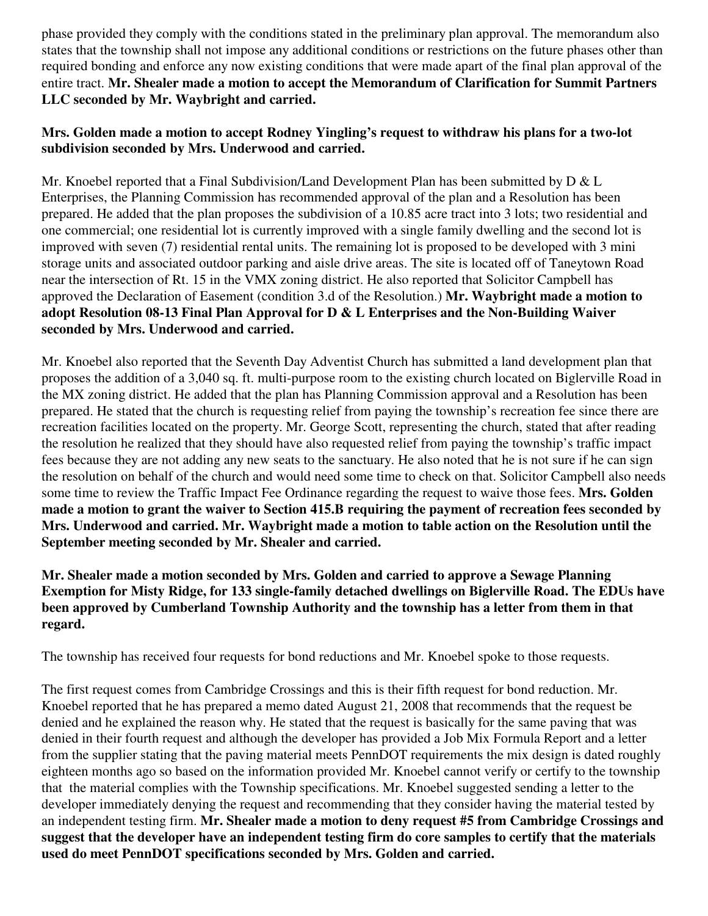phase provided they comply with the conditions stated in the preliminary plan approval. The memorandum also states that the township shall not impose any additional conditions or restrictions on the future phases other than required bonding and enforce any now existing conditions that were made apart of the final plan approval of the entire tract. **Mr. Shealer made a motion to accept the Memorandum of Clarification for Summit Partners LLC seconded by Mr. Waybright and carried.** 

## **Mrs. Golden made a motion to accept Rodney Yingling's request to withdraw his plans for a two-lot subdivision seconded by Mrs. Underwood and carried.**

Mr. Knoebel reported that a Final Subdivision/Land Development Plan has been submitted by D & L Enterprises, the Planning Commission has recommended approval of the plan and a Resolution has been prepared. He added that the plan proposes the subdivision of a 10.85 acre tract into 3 lots; two residential and one commercial; one residential lot is currently improved with a single family dwelling and the second lot is improved with seven (7) residential rental units. The remaining lot is proposed to be developed with 3 mini storage units and associated outdoor parking and aisle drive areas. The site is located off of Taneytown Road near the intersection of Rt. 15 in the VMX zoning district. He also reported that Solicitor Campbell has approved the Declaration of Easement (condition 3.d of the Resolution.) **Mr. Waybright made a motion to adopt Resolution 08-13 Final Plan Approval for D & L Enterprises and the Non-Building Waiver seconded by Mrs. Underwood and carried.** 

Mr. Knoebel also reported that the Seventh Day Adventist Church has submitted a land development plan that proposes the addition of a 3,040 sq. ft. multi-purpose room to the existing church located on Biglerville Road in the MX zoning district. He added that the plan has Planning Commission approval and a Resolution has been prepared. He stated that the church is requesting relief from paying the township's recreation fee since there are recreation facilities located on the property. Mr. George Scott, representing the church, stated that after reading the resolution he realized that they should have also requested relief from paying the township's traffic impact fees because they are not adding any new seats to the sanctuary. He also noted that he is not sure if he can sign the resolution on behalf of the church and would need some time to check on that. Solicitor Campbell also needs some time to review the Traffic Impact Fee Ordinance regarding the request to waive those fees. **Mrs. Golden made a motion to grant the waiver to Section 415.B requiring the payment of recreation fees seconded by Mrs. Underwood and carried. Mr. Waybright made a motion to table action on the Resolution until the September meeting seconded by Mr. Shealer and carried.** 

## **Mr. Shealer made a motion seconded by Mrs. Golden and carried to approve a Sewage Planning Exemption for Misty Ridge, for 133 single-family detached dwellings on Biglerville Road. The EDUs have been approved by Cumberland Township Authority and the township has a letter from them in that regard.**

The township has received four requests for bond reductions and Mr. Knoebel spoke to those requests.

The first request comes from Cambridge Crossings and this is their fifth request for bond reduction. Mr. Knoebel reported that he has prepared a memo dated August 21, 2008 that recommends that the request be denied and he explained the reason why. He stated that the request is basically for the same paving that was denied in their fourth request and although the developer has provided a Job Mix Formula Report and a letter from the supplier stating that the paving material meets PennDOT requirements the mix design is dated roughly eighteen months ago so based on the information provided Mr. Knoebel cannot verify or certify to the township that the material complies with the Township specifications. Mr. Knoebel suggested sending a letter to the developer immediately denying the request and recommending that they consider having the material tested by an independent testing firm. **Mr. Shealer made a motion to deny request #5 from Cambridge Crossings and suggest that the developer have an independent testing firm do core samples to certify that the materials used do meet PennDOT specifications seconded by Mrs. Golden and carried.**